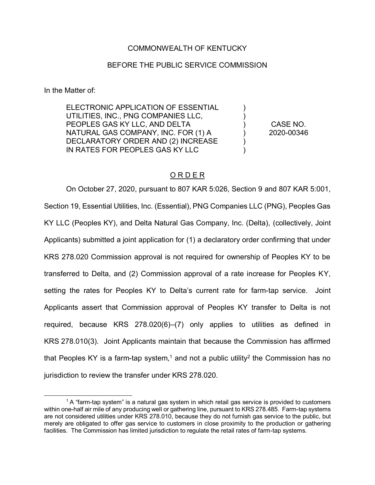## COMMONWEALTH OF KENTUCKY

## BEFORE THE PUBLIC SERVICE COMMISSION

In the Matter of:

 $\overline{a}$ 

ELECTRONIC APPLICATION OF ESSENTIAL UTILITIES, INC., PNG COMPANIES LLC, PEOPLES GAS KY LLC, AND DELTA NATURAL GAS COMPANY, INC. FOR (1) A DECLARATORY ORDER AND (2) INCREASE IN RATES FOR PEOPLES GAS KY LLC

CASE NO. 2020-00346

) ) ) ) ) )

## O R D E R

On October 27, 2020, pursuant to 807 KAR 5:026, Section 9 and 807 KAR 5:001, Section 19, Essential Utilities, Inc. (Essential), PNG Companies LLC (PNG), Peoples Gas KY LLC (Peoples KY), and Delta Natural Gas Company, Inc. (Delta), (collectively, Joint Applicants) submitted a joint application for (1) a declaratory order confirming that under KRS 278.020 Commission approval is not required for ownership of Peoples KY to be transferred to Delta, and (2) Commission approval of a rate increase for Peoples KY, setting the rates for Peoples KY to Delta's current rate for farm-tap service. Joint Applicants assert that Commission approval of Peoples KY transfer to Delta is not required, because KRS 278.020(6)–(7) only applies to utilities as defined in KRS 278.010(3). Joint Applicants maintain that because the Commission has affirmed that Peoples KY is a farm-tap system,<sup>1</sup> and not a public utility<sup>2</sup> the Commission has no jurisdiction to review the transfer under KRS 278.020.

 $1A$  "farm-tap system" is a natural gas system in which retail gas service is provided to customers within one-half air mile of any producing well or gathering line, pursuant to KRS 278.485. Farm-tap systems are not considered utilities under KRS 278.010, because they do not furnish gas service to the public, but merely are obligated to offer gas service to customers in close proximity to the production or gathering facilities. The Commission has limited jurisdiction to regulate the retail rates of farm-tap systems.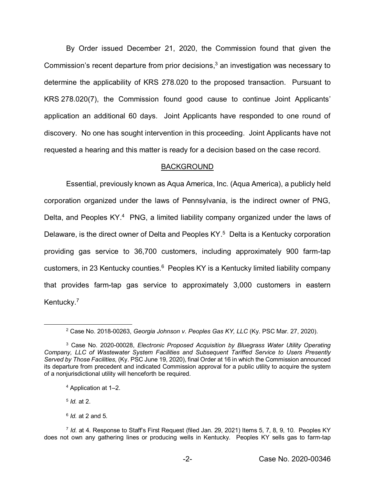By Order issued December 21, 2020, the Commission found that given the Commission's recent departure from prior decisions, <sup>3</sup> an investigation was necessary to determine the applicability of KRS 278.020 to the proposed transaction. Pursuant to KRS 278.020(7), the Commission found good cause to continue Joint Applicants' application an additional 60 days. Joint Applicants have responded to one round of discovery. No one has sought intervention in this proceeding. Joint Applicants have not requested a hearing and this matter is ready for a decision based on the case record.

## BACKGROUND

Essential, previously known as Aqua America, Inc. (Aqua America), a publicly held corporation organized under the laws of Pennsylvania, is the indirect owner of PNG, Delta, and Peoples KY.<sup>4</sup> PNG, a limited liability company organized under the laws of Delaware, is the direct owner of Delta and Peoples KY.<sup>5</sup> Delta is a Kentucky corporation providing gas service to 36,700 customers, including approximately 900 farm-tap customers, in 23 Kentucky counties.<sup>6</sup> Peoples KY is a Kentucky limited liability company that provides farm-tap gas service to approximately 3,000 customers in eastern Kentucky.<sup>7</sup>

<sup>4</sup> Application at 1–2.

<sup>5</sup> *Id.* at 2.

 $\overline{a}$ 

<sup>6</sup> *Id.* at 2 and 5.

<sup>2</sup> Case No. 2018-00263, *Georgia Johnson v. Peoples Gas KY, LLC* (Ky. PSC Mar. 27, 2020).

<sup>3</sup> Case No. 2020-00028, *Electronic Proposed Acquisition by Bluegrass Water Utility Operating Company, LLC of Wastewater System Facilities and Subsequent Tariffed Service to Users Presently Served by Those Facilities,* (Ky. PSC June 19, 2020), final Order at 16 in which the Commission announced its departure from precedent and indicated Commission approval for a public utility to acquire the system of a nonjurisdictional utility will henceforth be required.

<sup>7</sup> *Id.* at 4. Response to Staff's First Request (filed Jan. 29, 2021) Items 5, 7, 8, 9, 10. Peoples KY does not own any gathering lines or producing wells in Kentucky. Peoples KY sells gas to farm-tap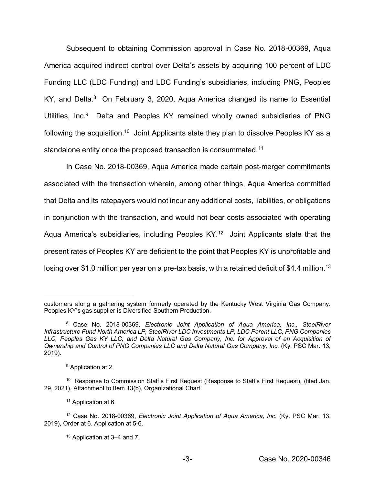Subsequent to obtaining Commission approval in Case No. 2018-00369, Aqua America acquired indirect control over Delta's assets by acquiring 100 percent of LDC Funding LLC (LDC Funding) and LDC Funding's subsidiaries, including PNG, Peoples KY, and Delta.<sup>8</sup> On February 3, 2020, Aqua America changed its name to Essential Utilities, Inc.<sup>9</sup> Delta and Peoples KY remained wholly owned subsidiaries of PNG following the acquisition.<sup>10</sup> Joint Applicants state they plan to dissolve Peoples KY as a standalone entity once the proposed transaction is consummated.<sup>11</sup>

In Case No. 2018-00369, Aqua America made certain post-merger commitments associated with the transaction wherein, among other things, Aqua America committed that Delta and its ratepayers would not incur any additional costs, liabilities, or obligations in conjunction with the transaction, and would not bear costs associated with operating Aqua America's subsidiaries, including Peoples KY.<sup>12</sup> Joint Applicants state that the present rates of Peoples KY are deficient to the point that Peoples KY is unprofitable and losing over \$1.0 million per year on a pre-tax basis, with a retained deficit of \$4.4 million.<sup>13</sup>

 $\overline{\phantom{a}}$ customers along a gathering system formerly operated by the Kentucky West Virginia Gas Company. Peoples KY's gas supplier is Diversified Southern Production.

<sup>8</sup> Case No. 2018-00369, *Electronic Joint Application of Aqua America, Inc., SteelRiver Infrastructure Fund North America LP, SteelRiver LDC Investments LP, LDC Parent LLC, PNG Companies*  LLC, Peoples Gas KY LLC, and Delta Natural Gas Company, Inc. for Approval of an Acquisition of *Ownership and Control of PNG Companies LLC and Delta Natural Gas Company, Inc.* (Ky. PSC Mar. 13, 2019).

<sup>&</sup>lt;sup>9</sup> Application at 2.

<sup>10</sup> Response to Commission Staff's First Request (Response to Staff's First Request)*,* (filed Jan. 29, 2021), Attachment to Item 13(b), Organizational Chart.

<sup>&</sup>lt;sup>11</sup> Application at 6.

<sup>12</sup> Case No. 2018-00369, *Electronic Joint Application of Aqua America, Inc.* (Ky. PSC Mar. 13, 2019), Order at 6. Application at 5-6.

<sup>13</sup> Application at 3–4 and 7.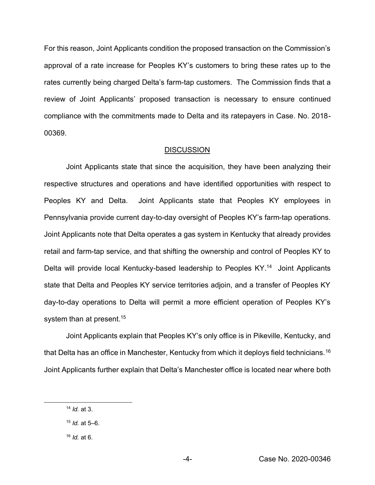For this reason, Joint Applicants condition the proposed transaction on the Commission's approval of a rate increase for Peoples KY's customers to bring these rates up to the rates currently being charged Delta's farm-tap customers. The Commission finds that a review of Joint Applicants' proposed transaction is necessary to ensure continued compliance with the commitments made to Delta and its ratepayers in Case. No. 2018- 00369.

#### **DISCUSSION**

Joint Applicants state that since the acquisition, they have been analyzing their respective structures and operations and have identified opportunities with respect to Peoples KY and Delta. Joint Applicants state that Peoples KY employees in Pennsylvania provide current day-to-day oversight of Peoples KY's farm-tap operations. Joint Applicants note that Delta operates a gas system in Kentucky that already provides retail and farm-tap service, and that shifting the ownership and control of Peoples KY to Delta will provide local Kentucky-based leadership to Peoples KY.<sup>14</sup> Joint Applicants state that Delta and Peoples KY service territories adjoin, and a transfer of Peoples KY day-to-day operations to Delta will permit a more efficient operation of Peoples KY's system than at present.<sup>15</sup>

Joint Applicants explain that Peoples KY's only office is in Pikeville, Kentucky, and that Delta has an office in Manchester, Kentucky from which it deploys field technicians.<sup>16</sup> Joint Applicants further explain that Delta's Manchester office is located near where both

 $\overline{\phantom{a}}$ 

<sup>14</sup> *Id.* at 3.

<sup>15</sup> *Id.* at 5–6.

<sup>16</sup> *Id.* at 6.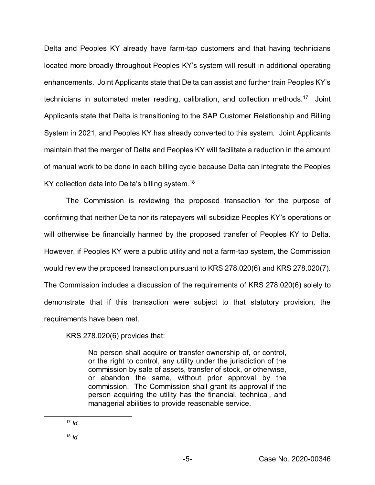Delta and Peoples KY already have farm-tap customers and that having technicians located more broadly throughout Peoples KY's system will result in additional operating enhancements. Joint Applicants state that Delta can assist and further train Peoples KY's technicians in automated meter reading, calibration, and collection methods.17 Joint Applicants state that Delta is transitioning to the SAP Customer Relationship and Billing System in 2021, and Peoples KY has already converted to this system. Joint Applicants maintain that the merger of Delta and Peoples KY will facilitate a reduction in the amount of manual work to be done in each billing cycle because Delta can integrate the Peoples KY collection data into Delta's billing system.<sup>18</sup>

The Commission is reviewing the proposed transaction for the purpose of confirming that neither Delta nor its ratepayers will subsidize Peoples KY's operations or will otherwise be financially harmed by the proposed transfer of Peoples KY to Delta. However, if Peoples KY were a public utility and not a farm-tap system, the Commission would review the proposed transaction pursuant to KRS 278.020(6) and KRS 278.020(7). The Commission includes a discussion of the requirements of KRS 278.020(6) solely to demonstrate that if this transaction were subject to that statutory provision, the requirements have been met.

KRS 278.020(6) provides that:

No person shall acquire or transfer ownership of, or control, or the right to control, any utility under the jurisdiction of the commission by sale of assets, transfer of stock, or otherwise, or abandon the same, without prior approval by the commission. The Commission shall grant its approval if the person acquiring the utility has the financial, technical, and managerial abilities to provide reasonable service.

 $\overline{a}$ 

<sup>18</sup> *Id.*

<sup>17</sup> *Id.*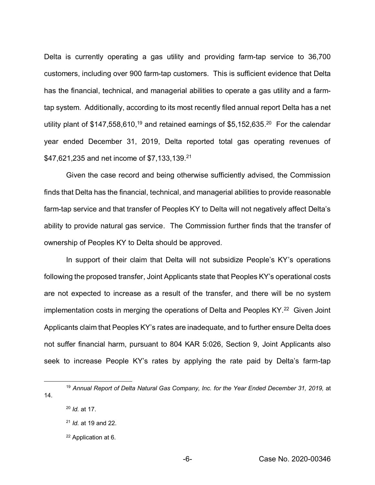Delta is currently operating a gas utility and providing farm-tap service to 36,700 customers, including over 900 farm-tap customers. This is sufficient evidence that Delta has the financial, technical, and managerial abilities to operate a gas utility and a farmtap system. Additionally, according to its most recently filed annual report Delta has a net utility plant of \$147,558,610,<sup>19</sup> and retained earnings of \$5,152,635.<sup>20</sup> For the calendar year ended December 31, 2019, Delta reported total gas operating revenues of \$47,621,235 and net income of \$7,133,139.<sup>21</sup>

Given the case record and being otherwise sufficiently advised, the Commission finds that Delta has the financial, technical, and managerial abilities to provide reasonable farm-tap service and that transfer of Peoples KY to Delta will not negatively affect Delta's ability to provide natural gas service. The Commission further finds that the transfer of ownership of Peoples KY to Delta should be approved.

In support of their claim that Delta will not subsidize People's KY's operations following the proposed transfer, Joint Applicants state that Peoples KY's operational costs are not expected to increase as a result of the transfer, and there will be no system implementation costs in merging the operations of Delta and Peoples KY.<sup>22</sup> Given Joint Applicants claim that Peoples KY's rates are inadequate, and to further ensure Delta does not suffer financial harm, pursuant to 804 KAR 5:026, Section 9, Joint Applicants also seek to increase People KY's rates by applying the rate paid by Delta's farm-tap

 $\overline{a}$ 

<sup>19</sup> *Annual Report of Delta Natural Gas Company, Inc. for the Year Ended December 31, 2019,* at 14.

<sup>20</sup> *Id.* at 17.

<sup>21</sup> *Id.* at 19 and 22.

<sup>22</sup> Application at 6.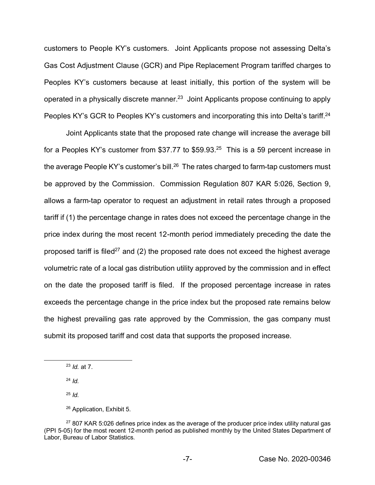customers to People KY's customers. Joint Applicants propose not assessing Delta's Gas Cost Adjustment Clause (GCR) and Pipe Replacement Program tariffed charges to Peoples KY's customers because at least initially, this portion of the system will be operated in a physically discrete manner.<sup>23</sup> Joint Applicants propose continuing to apply Peoples KY's GCR to Peoples KY's customers and incorporating this into Delta's tariff.<sup>24</sup>

Joint Applicants state that the proposed rate change will increase the average bill for a Peoples KY's customer from \$37.77 to \$59.93. $25$  This is a 59 percent increase in the average People KY's customer's bill.<sup>26</sup> The rates charged to farm-tap customers must be approved by the Commission. Commission Regulation 807 KAR 5:026, Section 9, allows a farm-tap operator to request an adjustment in retail rates through a proposed tariff if (1) the percentage change in rates does not exceed the percentage change in the price index during the most recent 12-month period immediately preceding the date the proposed tariff is filed<sup>27</sup> and (2) the proposed rate does not exceed the highest average volumetric rate of a local gas distribution utility approved by the commission and in effect on the date the proposed tariff is filed. If the proposed percentage increase in rates exceeds the percentage change in the price index but the proposed rate remains below the highest prevailing gas rate approved by the Commission, the gas company must submit its proposed tariff and cost data that supports the proposed increase.

 $\overline{\phantom{a}}$ 

<sup>25</sup> *Id.*

<sup>23</sup> *Id.* at 7.

<sup>24</sup> *Id.*

<sup>26</sup> Application, Exhibit 5.

 $27807$  KAR 5:026 defines price index as the average of the producer price index utility natural gas (PPI 5-05) for the most recent 12-month period as published monthly by the United States Department of Labor, Bureau of Labor Statistics.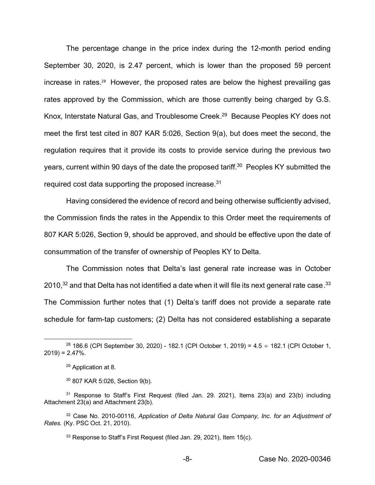The percentage change in the price index during the 12-month period ending September 30, 2020, is 2.47 percent, which is lower than the proposed 59 percent increase in rates.<sup>28</sup> However, the proposed rates are below the highest prevailing gas rates approved by the Commission, which are those currently being charged by G.S. Knox, Interstate Natural Gas, and Troublesome Creek. 29 Because Peoples KY does not meet the first test cited in 807 KAR 5:026, Section 9(a), but does meet the second, the regulation requires that it provide its costs to provide service during the previous two years, current within 90 days of the date the proposed tariff.<sup>30</sup> Peoples KY submitted the required cost data supporting the proposed increase.31

Having considered the evidence of record and being otherwise sufficiently advised, the Commission finds the rates in the Appendix to this Order meet the requirements of 807 KAR 5:026, Section 9, should be approved, and should be effective upon the date of consummation of the transfer of ownership of Peoples KY to Delta.

The Commission notes that Delta's last general rate increase was in October 2010,<sup>32</sup> and that Delta has not identified a date when it will file its next general rate case.<sup>33</sup> The Commission further notes that (1) Delta's tariff does not provide a separate rate schedule for farm-tap customers; (2) Delta has not considered establishing a separate

 $\overline{a}$ 

<sup>&</sup>lt;sup>28</sup> 186.6 (CPI September 30, 2020) - 182.1 (CPI October 1, 2019) = 4.5  $\div$  182.1 (CPI October 1,  $2019$ ) = 2.47%.

<sup>29</sup> Application at 8.

<sup>30</sup> 807 KAR 5:026, Section 9(b).

 $31$  Response to Staff's First Request (filed Jan. 29. 2021), Items 23(a) and 23(b) including Attachment 23(a) and Attachment 23(b).

<sup>32</sup> Case No. 2010-00116, *Application of Delta Natural Gas Company, Inc. for an Adjustment of Rates.* (Ky. PSC Oct. 21, 2010).

<sup>&</sup>lt;sup>33</sup> Response to Staff's First Request (filed Jan. 29, 2021), Item 15(c).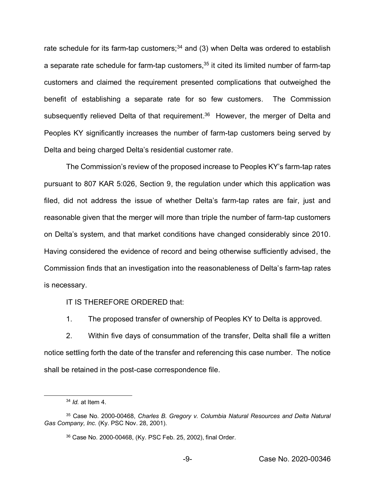rate schedule for its farm-tap customers; $34$  and (3) when Delta was ordered to establish a separate rate schedule for farm-tap customers,  $35$  it cited its limited number of farm-tap customers and claimed the requirement presented complications that outweighed the benefit of establishing a separate rate for so few customers. The Commission subsequently relieved Delta of that requirement.<sup>36</sup> However, the merger of Delta and Peoples KY significantly increases the number of farm-tap customers being served by Delta and being charged Delta's residential customer rate.

The Commission's review of the proposed increase to Peoples KY's farm-tap rates pursuant to 807 KAR 5:026, Section 9, the regulation under which this application was filed, did not address the issue of whether Delta's farm-tap rates are fair, just and reasonable given that the merger will more than triple the number of farm-tap customers on Delta's system, and that market conditions have changed considerably since 2010. Having considered the evidence of record and being otherwise sufficiently advised, the Commission finds that an investigation into the reasonableness of Delta's farm-tap rates is necessary.

IT IS THEREFORE ORDERED that:

1. The proposed transfer of ownership of Peoples KY to Delta is approved.

2. Within five days of consummation of the transfer, Delta shall file a written notice settling forth the date of the transfer and referencing this case number. The notice shall be retained in the post-case correspondence file.

 $\overline{a}$ 

<sup>34</sup> *Id.* at Item 4.

<sup>35</sup> Case No. 2000-00468, *Charles B. Gregory v. Columbia Natural Resources and Delta Natural Gas Company, Inc.* (Ky. PSC Nov. 28, 2001).

<sup>36</sup> Case No. 2000-00468, (Ky. PSC Feb. 25, 2002), final Order.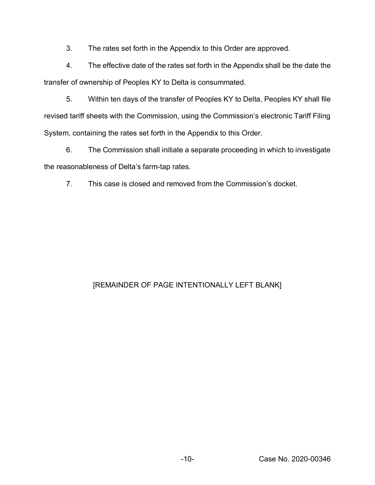3. The rates set forth in the Appendix to this Order are approved.

4. The effective date of the rates set forth in the Appendix shall be the date the transfer of ownership of Peoples KY to Delta is consummated.

5. Within ten days of the transfer of Peoples KY to Delta, Peoples KY shall file revised tariff sheets with the Commission, using the Commission's electronic Tariff Filing System, containing the rates set forth in the Appendix to this Order.

6. The Commission shall initiate a separate proceeding in which to investigate the reasonableness of Delta's farm-tap rates.

7. This case is closed and removed from the Commission's docket.

# [REMAINDER OF PAGE INTENTIONALLY LEFT BLANK]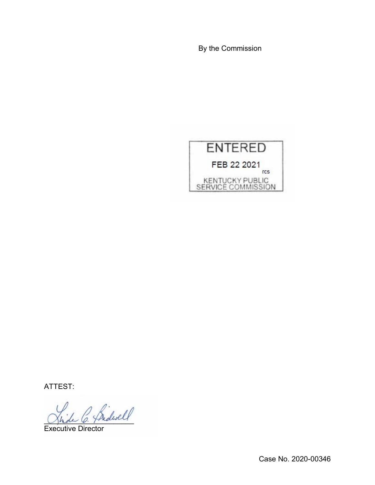By the Commission



ATTEST:

 $\overleftrightarrow{\text{Pridwell}}$ 

Executive Director

Case No. 2020-00346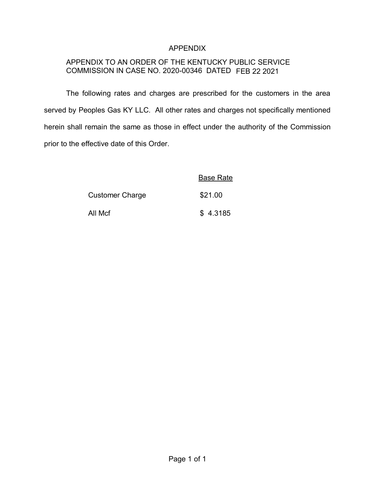## APPENDIX

# APPENDIX TO AN ORDER OF THE KENTUCKY PUBLIC SERVICE COMMISSION IN CASE NO. 2020-00346 DATED FEB 22 2021

The following rates and charges are prescribed for the customers in the area served by Peoples Gas KY LLC. All other rates and charges not specifically mentioned herein shall remain the same as those in effect under the authority of the Commission prior to the effective date of this Order.

|                        | <b>Base Rate</b> |
|------------------------|------------------|
| <b>Customer Charge</b> | \$21.00          |
| All Mcf                | \$4.3185         |